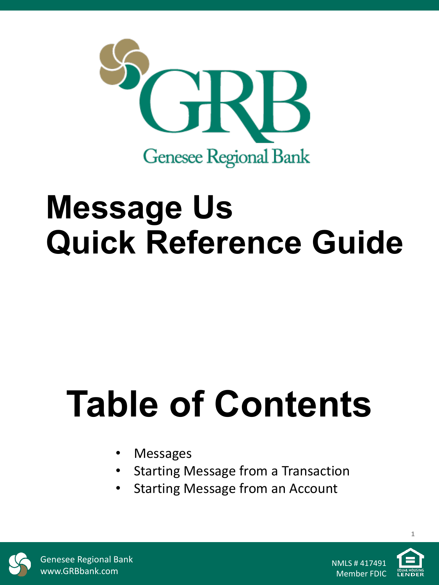

## **Message Us Quick Reference Guide**

# **Table of Contents**

- **Messages**
- Starting Message from a Transaction
- Starting Message from an Account



Genesee Regional Bank www.GRBbank.com

NMLS # 417491 Member FDIC



**1**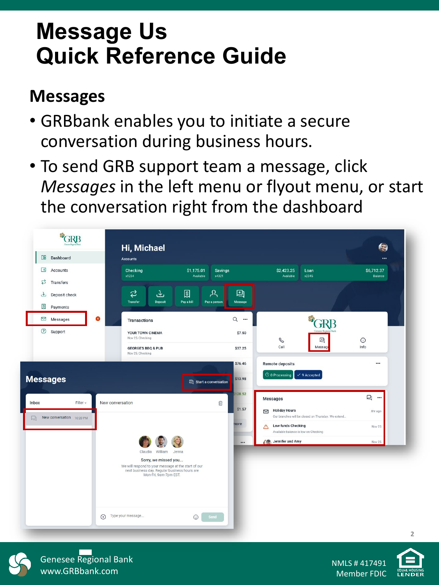### **Message Us Quick Reference Guide**

#### **Messages**

- GRBbank enables you to initiate a secure conversation during business hours.
- To send GRB support team a message, click *Messages* in the left menu or flyout menu, or start the conversation right from the dashboard





Genesee Regional Bank www.GRBbank.com

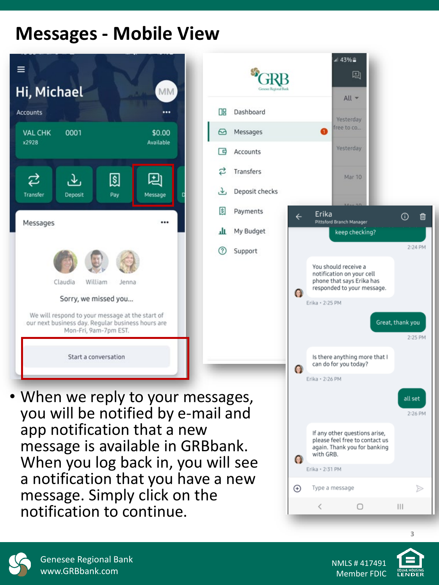#### **Messages - Mobile View**



app notification that a new<br>message is available in GRBbank.

message. Simply click on the

notification to continue.





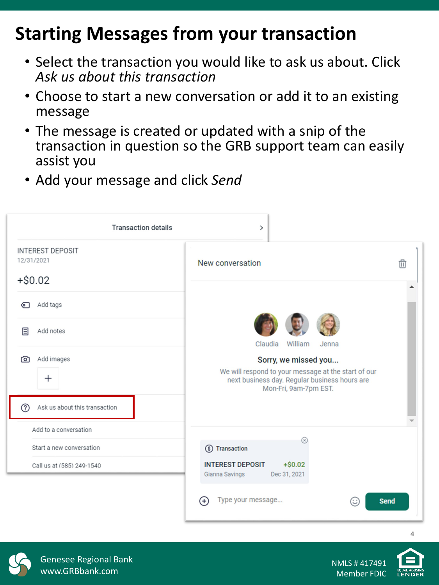#### **Starting Messages from your transaction**

- Select the transaction you would like to ask us about. Click *Ask us about this transaction*
- Choose to start a new conversation or add it to an existing message
- The message is created or updated with a snip of the transaction in question so the GRB support team can easily assist you
- Add your message and click *Send*

| <b>Transaction details</b>                         | $\left\langle \right\rangle$                                                                                                                          |   |
|----------------------------------------------------|-------------------------------------------------------------------------------------------------------------------------------------------------------|---|
| <b>INTEREST DEPOSIT</b><br>12/31/2021<br>$+ $0.02$ | New conversation                                                                                                                                      | 血 |
| Add tags<br>ଚା                                     |                                                                                                                                                       |   |
| Add notes<br>目                                     | Claudia<br>William<br>Jenna                                                                                                                           |   |
| Add images<br>൚<br>$\,+\,$                         | Sorry, we missed you<br>We will respond to your message at the start of our<br>next business day. Regular business hours are<br>Mon-Fri, 9am-7pm EST. |   |
| Ask us about this transaction<br>?)                |                                                                                                                                                       |   |
| Add to a conversation                              |                                                                                                                                                       |   |
| Start a new conversation                           | $\circledR$<br>(\$) Transaction                                                                                                                       |   |
| Call us at (585) 249-1540                          | <b>INTEREST DEPOSIT</b><br>$+ $0.02$<br>Gianna Savings<br>Dec 31, 2021                                                                                |   |
|                                                    | Type your message<br><b>Send</b><br>(∷<br>$+$                                                                                                         |   |



**4**